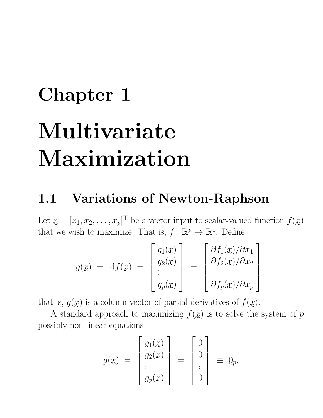## Chapter 1 Multivariate Maximization

## 1.1 Variations of Newton-Raphson

Let  $\underline{x} = [x_1, x_2, \dots, x_p]^\top$  be a vector input to scalar-valued function  $f(\underline{x})$ that we wish to maximize. That is,  $f : \mathbb{R}^p \to \mathbb{R}^1$ . Define

$$
g(x) = df(x) = \begin{bmatrix} g_1(x) \\ g_2(x) \\ \vdots \\ g_p(x) \end{bmatrix} = \begin{bmatrix} \partial f_1(x)/\partial x_1 \\ \partial f_2(x)/\partial x_2 \\ \vdots \\ \partial f_p(x)/\partial x_p \end{bmatrix}
$$

,

extial derivatives that is,  $g(x)$  is a column vector of partial derivatives of  $f(x)$ .

A standard approach to maximizing  $f(x)$  is to solve the system of  $p$ possibly non-linear equations

$$
g(\underline{x}) = \begin{bmatrix} g_1(\underline{x}) \\ g_2(\underline{x}) \\ \vdots \\ g_p(\underline{x}) \end{bmatrix} = \begin{bmatrix} 0 \\ 0 \\ \vdots \\ 0 \end{bmatrix} \equiv \underline{0}_p,
$$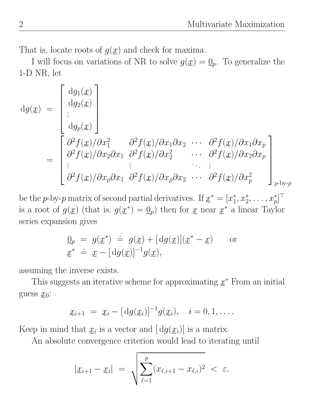That is, locate roots of  $g(x)$  and check for maxima.

I will focus on variations of NR to solve  $g(\underline{x}) = \underline{0}_p$ . To generalize the 1-D NR, let

$$
dg(x) = \begin{bmatrix} dg_1(x) \\ dg_2(x) \\ \vdots \\ dg_p(x) \end{bmatrix}
$$
  
= 
$$
\begin{bmatrix} \frac{\partial^2 f(x)}{\partial x^2} & \frac{\partial^2 f(x)}{\partial x^2} & \cdots & \frac{\partial^2 f(x)}{\partial x^2} \\ \frac{\partial^2 f(x)}{\partial x^2} & \frac{\partial^2 f(x)}{\partial x^2} & \cdots & \frac{\partial^2 f(x)}{\partial x^2} \\ \vdots & \vdots & \ddots & \vdots \\ \frac{\partial^2 f(x)}{\partial x^2} & \frac{\partial^2 f(x)}{\partial x^2} & \cdots & \frac{\partial^2 f(x)}{\partial x^2} \end{bmatrix}_{p \text{-by-}p}
$$

e e de la construcción de la construcción de la construcción de la construcción de la construcción de la const<br>En la construcción de la construcción de la construcción de la construcción de la construcción de la construcc be the p-by-p matrix of second partial derivatives. If  $x^* = [x_1^*]$ is a root of  $g(x)$  (that is,  $g(x^*) = \mathbb{Q}_p$ ) then for x near  $x^*$  a linear Taylor  $[x_1^*, x_2^*, \ldots, x_p^*]^\top$ series expansion gives

$$
Q_p = g(x^*) \doteq g(x) + [dg(x)](x^* - x)
$$
 or  

$$
x^* \doteq x - [dg(x)]^{-1}g(x),
$$

invorso assuming the inverse exists.

This suggests an iterative scheme for approximating  $x^*$  From an initial guess  $x_0$ :

$$
x_{i+1} = x_i - [dg(x_i)]^{-1} g(x_i), \quad i = 0, 1, \ldots.
$$

that  $x_i$  is a voctor and  $\lceil da \rceil$ Keep in mind that  $x_i$  is a vector and  $\left[ dg(x_i) \right]$  is a matrix.

An absolute convergence criterion would lead to iterating until

$$
|x_{i+1} - x_i| = \sqrt{\sum_{\ell=1}^p (x_{\ell,i+1} - x_{\ell,i})^2} < \varepsilon.
$$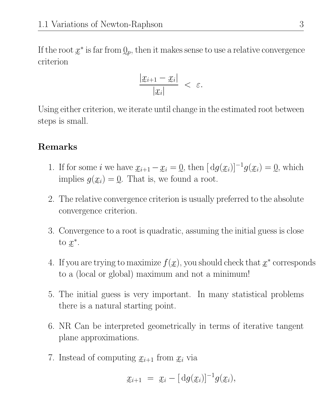If the root  $x^*$  is far from  $Q_p$ , then it makes sense to use a relative convergence criterion

$$
\frac{|x_{i+1}-x_i|}{|x_i|} < \varepsilon.
$$

e Using either criterion, we iterate until change in the estimated root between steps is small.

## Remarks

- 1. If for some i we have  $x_{i+1} x_i = 0$ , then  $\left[ dg(x_i) \right]^{-1} g(x_i) = 0$ , which implies  $g(x_i) = 0$ . That is, we found a root.
- 2. The relative convergence criterion is usually preferred to the absolute convergence criterion.
- 3. Convergence to a root is quadratic, assuming the initial guess is close to  $x^*$ .
- 4. If you are trying to maximize  $f(x)$ , you should check that  $x^*$  corresponds e to a (local or global) maximum and not a minimum!
- 5. The initial guess is very important. In many statistical problems there is a natural starting point.
- 6. NR Can be interpreted geometrically in terms of iterative tangent plane approximations.
- 7. Instead of computing  $x_{i+1}$  from  $x_i$  via

$$
x_{i+1} = x_i - [\,\mathrm{d}g(x_i)]^{-1} g(x_i),
$$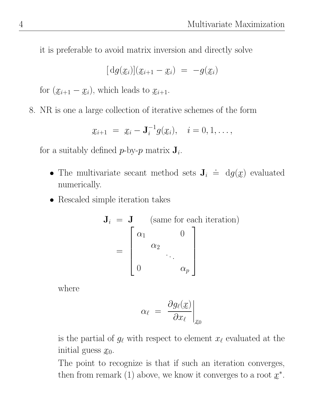it is preferable to avoid matrix inversion and directly solve

$$
[dg(\underline{x}_i)](\underline{x}_{i+1}-\underline{x}_i) = -g(\underline{x}_i)
$$

e e e for  $(\underline{x}_{i+1} - \underline{x}_i)$ , which leads to  $\underline{x}_{i+1}$ .

e e e 8. NR is one a large collection of iterative schemes of the form

$$
\underline{x}_{i+1} = \underline{x}_i - \mathbf{J}_i^{-1} g(\underline{x}_i), \quad i = 0, 1, \ldots,
$$

 $\begin{array}{ccccccccc}\n1 & C & & 1 & 1 & & & & \\
\end{array}$ for a suitably defined  $p$ -by- $p$  matrix  $J_i$ .

- The multivariate secant method sets  $J_i$ .  $\dot{=} \, dg(x)$  evaluated numerically.
- Rescaled simple iteration takes

$$
\mathbf{J}_i = \mathbf{J} \quad \text{(same for each iteration)}
$$
  
= 
$$
\begin{bmatrix} \alpha_1 & 0 \\ \alpha_2 & \cdot \\ 0 & \alpha_p \end{bmatrix}
$$

where

$$
\alpha_\ell\ =\ \frac{\partial g_\ell(\underline{x})}{\partial x_\ell}\bigg|_{\underline{x}_0}
$$

e<br>1 is the partial of  $g_\ell$  with respect to element  $x_\ell$  evaluated at the initial guess  $x_0$ .

The point to recognize is that if such an iteration converges, then from remark (1) above, we know it converges to a root  $x^*$ .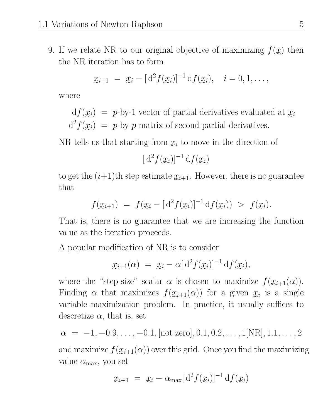9. If we relate NR to our original objective of maximizing  $f(x)$  then the NR iteration has to form

$$
\mathfrak{X}_{i+1} = \mathfrak{X}_i - [d^2 f(\mathfrak{X}_i)]^{-1} df(\mathfrak{X}_i), \quad i = 0, 1, \ldots,
$$

where

 $df(\mathbf{x}_i) = p$ -by-1 vector of partial derivatives evaluated at  $\mathbf{x}_i$  $d^2 f(x_i) = p$ -by-p matrix of second partial derivatives.

NR tells us that starting from  $x_i$  to move in the direction of

$$
[\mathrm{d}^2 f(\underline{x}_i)]^{-1} \mathrm{d} f(\underline{x}_i)
$$

to get the  $(i+1)$ <sup>th</sup> step estimate  $x_{i+1}$ . However, there is no guarantee that

$$
f(\underline{x}_{i+1}) = f(\underline{x}_{i} - [\mathrm{d}^{2} f(\underline{x}_{i})]^{-1} \mathrm{d} f(\underline{x}_{i})) > f(\underline{x}_{i}).
$$

That is, there is no guarantee that we are increasing the function value as the iteration proceeds.

A popular modification of NR is to consider

$$
\mathfrak{X}_{i+1}(\alpha) = \mathfrak{X}_i - \alpha [d^2 f(\mathfrak{X}_i)]^{-1} df(\mathfrak{X}_i),
$$

where the "step-size" scalar  $\alpha$  is chosen to maximize  $f(\underline{x}_{i+1}(\alpha))$ . Finding  $\alpha$  that maximizes  $f(\mathfrak{X}_{i+1}(\alpha))$  for a given  $\mathfrak{X}_i$  is a single variable maximization problem. In practice, it usually suffices to descretize  $\alpha$ , that is, set

$$
\alpha = -1, -0.9, \ldots, -0.1
$$
, [not zero], 0.1, 0.2, \ldots, 1[NR], 1.1, \ldots, 2

and maximize  $f(\mathfrak{X}_{i+1}(\alpha))$  over this grid. Once you find the maximizing value  $\alpha_{\text{max}}$ , you set

$$
\mathfrak{X}_{i+1} = \mathfrak{X}_i - \alpha_{\max} [d^2 f(\mathfrak{X}_i)]^{-1} df(\mathfrak{X}_i)
$$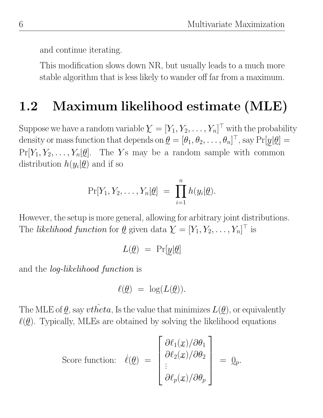and continue iterating.

This modification slows down NR, but usually leads to a much more stable algorithm that is less likely to wander off far from a maximum.

## 1.2 Maximum likelihood estimate (MLE)

Suppose we have a random variable  $\boldsymbol{\mathcal{Y}} = [Y_1, Y_2, \dots, Y_n]^\top$  with the probability density or mass function that depends on  $\mathcal{Q} = [\theta_1, \theta_2, \dots, \theta_n]^\top$ , say  $\Pr[\underline{y}|\mathcal{Q}] =$  $Pr[Y_1, Y_2, \ldots, Y_n | \underline{\theta}]$ . The Ys may be a random sample with common distribution  $h(y_i|\underline{\theta})$  and if so

$$
\Pr[Y_1, Y_2, \ldots, Y_n | \underline{\theta}] = \prod_{i=1}^n h(y_i | \underline{\theta}).
$$

However, the setup is more general, allowing for arbitrary joint distributions. The *likelihood function* for  $\underline{\theta}$  given data  $\underline{Y} = [Y_1, Y_2, \dots, Y_n]^\top$  is

$$
L(\underline{\theta}) = \Pr[\underline{y}|\underline{\theta}]
$$

and the *log-likelihood function* is

$$
\ell(\underline{\theta}) \ = \ \log(L(\underline{\theta})).
$$

e e The MLE of  $g$ , say  $v$ theta, Is the value that minimizes  $L(g)$ , or equivalently  $\ell(\mathcal{Q})$ . Typically, MLEs are obtained by solving the likelihood equations

Score function:

\n
$$
\dot{\ell}(\theta) = \begin{bmatrix}\n\frac{\partial \ell_1(x)}{\partial \theta_2} \\
\vdots \\
\frac{\partial \ell_p(x)}{\partial \theta_p}\n\end{bmatrix} = \mathbf{Q}_p.
$$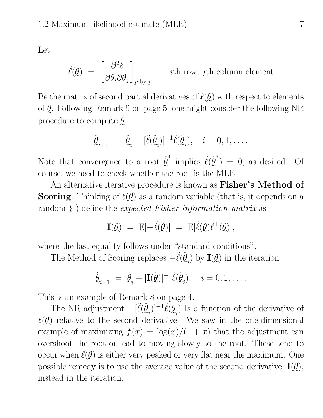Let

$$
\ddot{\ell}(\underline{\theta}) = \left[\frac{\partial^2 \ell}{\partial \theta_i \partial \theta_j}\right]_{p \text{-by-}p} \quad \text{ith row, } j\text{th column element}
$$

Be the matrix of second partial derivatives of  $\ell(\underline{\theta})$  with respect to elements of  $Q$ . Following Remark 9 on page 5, one might consider the following NR procedure to compute  $\hat{\mathcal{Q}}$ :

$$
\hat{\underline{\theta}}_{i+1} = \hat{\underline{\theta}}_i - [\ddot{\ell}(\hat{\underline{\theta}}_i)]^{-1} \dot{\ell}(\hat{\underline{\theta}}_i), \quad i = 0, 1, \dots
$$

 $\hat{\mathcal{L}}$  \* Note that convergence to a root  $\hat{\ell}^*$  implies  $\ell(\hat{\ell}^*) = 0$ , as desired. Of e e course, we need to check whether the root is the MLE!

An alternative iterative procedure is known as **Fisher's Method of Scoring**. Thinking of  $\ddot{\ell}(\theta)$  as a random variable (that is, it depends on a  $\pmb{\mathrm{r}}$  andom  $\pmb{\mathrm{Y}}$ ) define the *expected Fisher information matrix* as

$$
\mathbf{I}(\mathcal{Q}) = \mathbf{E}[-\ddot{\ell}(\mathcal{Q})] = \mathbf{E}[\dot{\ell}(\mathcal{Q})\dot{\ell}^{\top}(\mathcal{Q})],
$$

te follows under "step dand oan where the last equality follows under "standard conditions".

The Method of Scoring replaces  $-\ddot{\ell}(\hat{\theta}_i)$  by  $\mathbf{I}(\mathcal{Q})$  in the iteration

$$
\hat{\underline{\theta}}_{i+1} = \hat{\underline{\theta}}_i + [\mathbf{I}(\hat{\underline{\theta}})]^{-1} \dot{\ell}(\hat{\underline{\theta}}_i), \quad i = 0, 1, \dots
$$

rele of Demands 8 en nome This is an example of Remark 8 on page 4.

The NR adjustment  $-[\ddot{\ell}(\hat{\ell}_i)]^{-1}\dot{\ell}(\hat{\ell}_i)$  Is a function of the derivative of  $\ell(\mathcal{Q})$  relative to the second derivative. We saw in the one-dimensional example of maximizing  $f(x) = \log(x)/(1+x)$  that the adjustment can overshoot the root or lead to moving slowly to the root. These tend to occur when  $\ell(\underline{\theta})$  is either very peaked or very flat near the maximum. One possible remedy is to use the average value of the second derivative,  $I(\mathcal{Q})$ , instead in the iteration.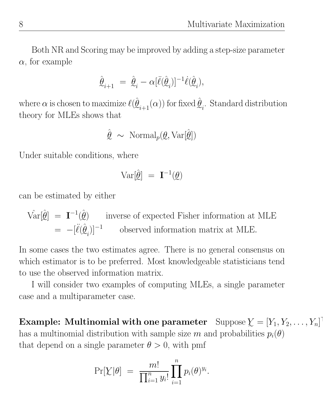Both NR and Scoring may be improved by adding a step-size parameter  $\alpha$ , for example

$$
\label{eq:hatH} \hat{\underline{\theta}}_{i+1} \ = \ \hat{\underline{\theta}}_i - \alpha [\ddot{\ell}(\hat{\underline{\theta}}_i)]^{-1} \dot{\ell}(\hat{\underline{\theta}}_i),
$$

e e e e where  $\alpha$  is chosen to maximize  $\ell(\hat{\mathcal{Q}}_{i+1}(\alpha))$  for fixed  $\hat{\mathcal{Q}}_{i}$ . Standard distribution theory for MLEs shows that

$$
\hat{\mathcal{Q}} \sim \text{Normal}_p(\mathcal{Q}, \text{Var}[\hat{\mathcal{Q}}])
$$

Under suitable conditions, where

$$
\text{Var}[\hat{\mathcal{Q}}] = \mathbf{I}^{-1}(\mathcal{Q})
$$

can be estimated by either

$$
\begin{aligned}\n\hat{\text{Var}}[\hat{\theta}] &= \mathbf{I}^{-1}(\hat{\theta}) & \text{inverse of expected Fisher information at MLE} \\
&= -[\ddot{\ell}(\hat{\theta}_i)]^{-1} & \text{observed information matrix at MLE.}\n\end{aligned}
$$

e In some cases the two estimates agree. There is no general consensus on which estimator is to be preferred. Most knowledgeable statisticians tend to use the observed information matrix.

I will consider two examples of computing MLEs, a single parameter case and a multiparameter case.

Example: Multinomial with one parameter Suppose  $\boldsymbol{\mathcal{Y}} = [Y_1, Y_2, \dots, Y_n]^\top$ has a multinomial distribution with sample size  $m$  and probabilities  $p_i(\theta)$ that depend on a single parameter  $\theta > 0$ , with pmf

$$
\Pr[\chi|\theta] = \frac{m!}{\prod_{i=1}^n y_i!} \prod_{i=1}^n p_i(\theta)^{y_i}.
$$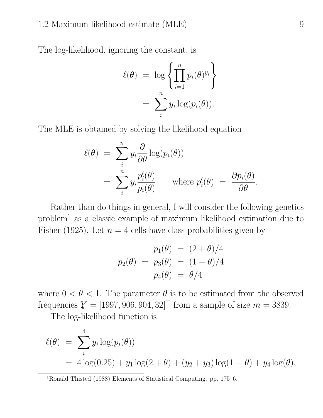The log-likelihood, ignoring the constant, is

$$
\ell(\theta) = \log \left\{ \prod_{i=1}^{n} p_i(\theta)^{y_i} \right\}
$$

$$
= \sum_{i}^{n} y_i \log(p_i(\theta)).
$$

The MLE is obtained by solving the likelihood equation

$$
\dot{\ell}(\theta) = \sum_{i}^{n} y_{i} \frac{\partial}{\partial \theta} \log(p_{i}(\theta))
$$
  
= 
$$
\sum_{i}^{n} y_{i} \frac{p'_{i}(\theta)}{p_{i}(\theta)} \quad \text{where } p'_{i}(\theta) = \frac{\partial p_{i}(\theta)}{\partial \theta}.
$$

Rather than do things in general, I will consider the following genetics problem<sup>1</sup> as a classic example of maximum likelihood estimation due to Fisher (1925). Let  $n = 4$  cells have class probabilities given by

$$
p_1(\theta) = (2 + \theta)/4
$$
  

$$
p_2(\theta) = p_3(\theta) = (1 - \theta)/4
$$
  

$$
p_4(\theta) = \theta/4
$$

where  $0 < \theta < 1$ . The parameter  $\theta$  is to be estimated from the observed frequencies  $\mathcal{Y} = [1997, 906, 904, 32]^\top$  from a sample of size  $m = 3839$ .

The log-likelihood function is

$$
\ell(\theta) = \sum_{i}^{4} y_i \log(p_i(\theta))
$$
  
=  $4 \log(0.25) + y_1 \log(2 + \theta) + (y_2 + y_3) \log(1 - \theta) + y_4 \log(\theta),$ 

<sup>1</sup>Ronald Thisted (1988) Elements of Statistical Computing. pp. 175–6.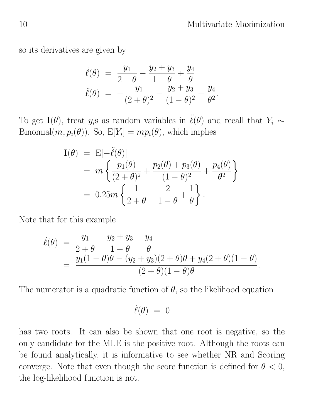so its derivatives are given by

$$
\dot{\ell}(\theta) = \frac{y_1}{2+\theta} - \frac{y_2 + y_3}{1-\theta} + \frac{y_4}{\theta}
$$
  

$$
\ddot{\ell}(\theta) = -\frac{y_1}{(2+\theta)^2} - \frac{y_2 + y_3}{(1-\theta)^2} - \frac{y_4}{\theta^2}.
$$

To get  $I(\theta)$ , treat  $y_i$ s as random variables in  $\ddot{\ell}(\theta)$  and recall that  $Y_i \sim$ Binomial $(m, p_i(\theta))$ . So,  $E[Y_i] = mp_i(\theta)$ , which implies

$$
\mathbf{I}(\theta) = \mathbf{E}[-\ddot{\ell}(\theta)] \n= m \left\{ \frac{p_1(\theta)}{(2+\theta)^2} + \frac{p_2(\theta) + p_3(\theta)}{(1-\theta)^2} + \frac{p_4(\theta)}{\theta^2} \right\} \n= 0.25m \left\{ \frac{1}{2+\theta} + \frac{2}{1-\theta} + \frac{1}{\theta} \right\}.
$$

Note that for this example

$$
\dot{\ell}(\theta) = \frac{y_1}{2+\theta} - \frac{y_2 + y_3}{1-\theta} + \frac{y_4}{\theta} \n= \frac{y_1(1-\theta)\theta - (y_2 + y_3)(2+\theta)\theta + y_4(2+\theta)(1-\theta)}{(2+\theta)(1-\theta)\theta}.
$$

The numerator is a quadratic function of  $\theta$ , so the likelihood equation

$$
\dot{\ell}(\theta) \ = \ 0
$$

has two roots. It can also be shown that one root is negative, so the only candidate for the MLE is the positive root. Although the roots can be found analytically, it is informative to see whether NR and Scoring converge. Note that even though the score function is defined for  $\theta < 0$ , the log-likelihood function is not.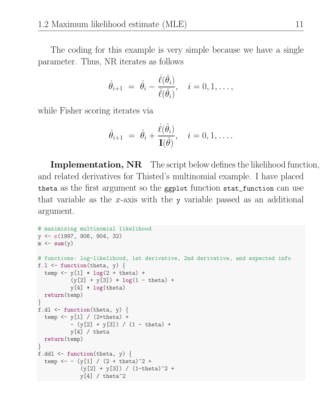The coding for this example is very simple because we have a single parameter. Thus, NR iterates as follows

$$
\hat{\theta}_{i+1} = \hat{\theta}_i - \frac{\dot{\ell}(\hat{\theta}_i)}{\ddot{\ell}(\hat{\theta}_i)}, \quad i = 0, 1, \dots,
$$

while Fisher scoring iterates via

$$
\hat{\theta}_{i+1} = \hat{\theta}_i + \frac{\dot{\ell}(\hat{\theta}_i)}{\mathbf{I}(\hat{\theta})}, \quad i = 0, 1, \dots
$$

Implementation, NR The script below defines the likelihood function, and related derivatives for Thisted's multinomial example. I have placed theta as the first argument so the ggplot function stat\_function can use that variable as the x-axis with the y variable passed as an additional argument.

```
# maximizing multinomial likelihood
y <- c(1997, 906, 904, 32)
m \leftarrow \text{sum}(y)# functions: log-likelihood, 1st derivative, 2nd derivative, and expected info
f.l \le function(theta, y) {
  temp \leftarrow y[1] * log(2 + theta) +
           (y[2] + y[3]) * log(1 - theta) +y[4] * log(theta)return(temp)
}
f.dl \leftarrow function(theta, y) {
  temp \leftarrow y[1] / (2+theta) +
           - (y[2] + y[3]) / (1 - theta) +
           y[4] / \thetareturn(temp)
}
f.ddl \leq function(theta, y) {
  temp <- - (y[1] / (2 + \text{theta})^2 +(y[2] + y[3]) / (1 - \theta)<sup>2</sup> +
               y[4] / \theta theta<sup>2</sup>
```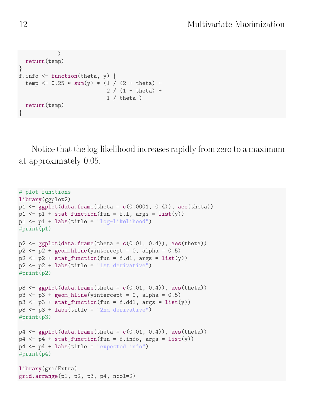```
)
  return(temp)
}
f.info \leq function(theta, y) {
  temp <- 0.25 * sum(y) * (1 / (2 + theta) +2 / (1 - \text{theta}) +1 / theta)
  return(temp)
}
```
Notice that the log-likelihood increases rapidly from zero to a maximum at approximately 0.05.

```
# plot functions
library(ggplot2)
p1 \leftarrow \text{ggplot}(data.frame(theta = c(0.0001, 0.4)), aes(theta))p1 \leftarrow p1 + stat_function(fun = f.l, args = list(y))p1 \leftarrow p1 + \text{labels}(\text{title} = \text{"log-likelihood"})#print(p1)
p2 \leftarrow ggplot(data.frame(theta = c(0.01, 0.4)), aes(theta))
p2 \leq p2 + \text{geom\_hline}(yintercept = 0, \text{alpha} = 0.5)p2 \leftarrow p2 + \text{stat_function}(fun = f.d1, args = list(y))p2 \leftarrow p2 + \text{labels}(\text{title} = "1st derivative")#print(p2)
p3 \leftarrow ggplot(data.frame(theta = c(0.01, 0.4)), aes(theta))
p3 \leq -p3 + \text{geom\_hline}(yintercept = 0, \text{alpha} = 0.5)p3 \leq p3 + \text{stat_function}(fun = f. ddl, \text{args} = \text{list}(y))p3 \leftarrow p3 + \text{labels}(\text{title} = "2nd derivative")#print(p3)
p4 \leftarrow ggplot(data.frame(theta = c(0.01, 0.4)), aes(theta))
p4 \leftarrow p4 + stat_function(fun = f.info, args = list(y))p4 \leftarrow p4 + \text{ labs}(\text{title} = \text{``expected info''})#print(p4)
library(gridExtra)
grid.arrange(p1, p2, p3, p4, ncol=2)
```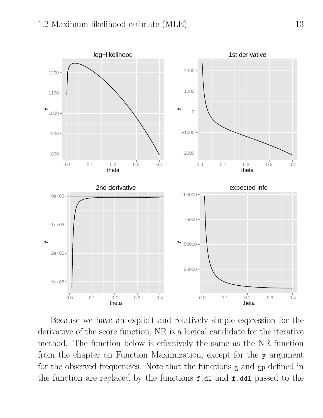

Because we have an explicit and relatively simple expression for the derivative of the score function, NR is a logical candidate for the iterative method. The function below is effectively the same as the NR function from the chapter on Function Maximization, except for the y argument for the observed frequencies. Note that the functions g and gp defined in the function are replaced by the functions f.dl and f.ddl passed to the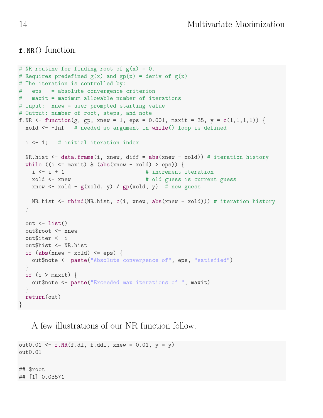f.NR() function.

```
# NR routine for finding root of g(x) = 0.
# Requires predefined g(x) and gp(x) = deriv of g(x)# The iteration is controlled by:
# eps = absolute convergence criterion
# maxit = maximum allowable number of iterations
# Input: xnew = user prompted starting value
# Output: number of root, steps, and note
f.NR <- function(g, gp, xnew = 1, eps = 0.001, maxit = 35, y = c(1,1,1,1)) {
 xold <- -Inf # needed so argument in while() loop is defined
 i <- 1; # initial iteration index
 NR.hist \leq data.frame(i, xnew, diff = abs(xnew - xold)) # iteration history
 while ((i \leq maxit) \& (abs(xnew - xold) > eps))i \leq i + 1 # increment iteration
   xold <- xnew # old guess is current guess
   xnew \le xold - g(xold, y) / gp(xold, y) # new guess
   NR.hist <- rbind(NR.hist, c(i, xnew, abs(xnew - xold))) # iteration history
  }
 out \leftarrow list()
 out$root <- xnew
  out$iter <- i
 out$hist <- NR.hist
  if (abs(xnew - xold) \le eps) {
   out$note <- paste("Absolute convergence of", eps, "satisfied")
  }
 if (i > maxit) {
   out$note <- paste("Exceeded max iterations of ", maxit)
  }
 return(out)
}
```
A few illustrations of our NR function follow.

out0.01 <- f.NR $(f.d1, f.dd1, xnew = 0.01, y = y)$ out0.01 ## \$root ## [1] 0.03571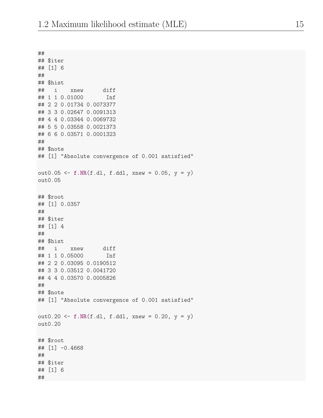```
##
## $iter
## [1] 6
##
## $hist
## i xnew diff
## 1 1 0.01000 Inf
## 2 2 0.01734 0.0073377
## 3 3 0.02647 0.0091313
## 4 4 0.03344 0.0069732
## 5 5 0.03558 0.0021373
## 6 6 0.03571 0.0001323
##
## $note
## [1] "Absolute convergence of 0.001 satisfied"
out0.05 <- f.NR(f.d1, f.dd1, xnew = 0.05, y = y)out0.05
## $root
## [1] 0.0357
##
## $iter
## [1] 4
##
## $hist
## i xnew diff
## 1 1 0.05000 Inf
## 2 2 0.03095 0.0190512
## 3 3 0.03512 0.0041720
## 4 4 0.03570 0.0005826
##
## $note
## [1] "Absolute convergence of 0.001 satisfied"
out0.20 <- f.NR(f.dl, f.ddl, xnew = 0.20, y = y)
out0.20
## $root
## [1] -0.4668
##
## $iter
## [1] 6
##
```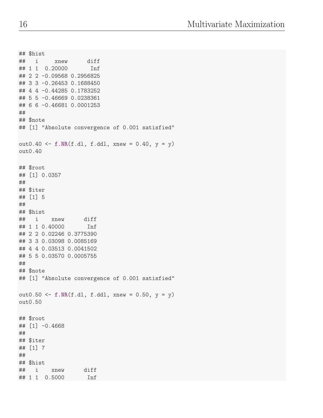```
## $hist
## i xnew diff
## 1 1 0.20000 Inf
## 2 2 -0.09568 0.2956825
## 3 3 -0.26453 0.1688450
## 4 4 -0.44285 0.1783252
## 5 5 -0.46669 0.0238361
## 6 6 -0.46681 0.0001253
##
## $note
## [1] "Absolute convergence of 0.001 satisfied"
out0.40 <- f.NR(f.dl, f.ddl, xnew = 0.40, y = y)
out0.40
## $root
## [1] 0.0357
##
## $iter
## [1] 5
##
## $hist
## i xnew diff
## 1 1 0.40000 Inf
## 2 2 0.02246 0.3775390
## 3 3 0.03098 0.0085169
## 4 4 0.03513 0.0041502
## 5 5 0.03570 0.0005755
##
## $note
## [1] "Absolute convergence of 0.001 satisfied"
out0.50 <- f.NR(f.dl, f.ddl, xnew = 0.50, y = y)
out0.50
## $root
\## [1] -0.4668
##
## $iter
## [1] 7
##
## $hist
## i xnew diff
## 1 1 0.5000 Inf
```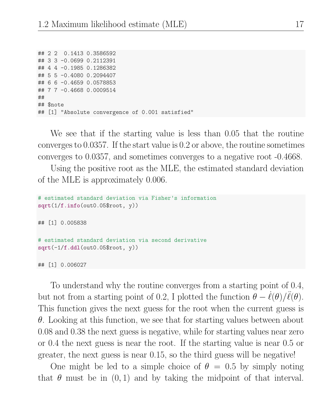## 2 2 0.1413 0.3586592 ## 3 3 -0.0699 0.2112391 ## 4 4 -0.1985 0.1286382 ## 5 5 -0.4080 0.2094407 ## 6 6 -0.4659 0.0578853 ## 7 7 -0.4668 0.0009514 ## ## \$note ## [1] "Absolute convergence of 0.001 satisfied"

We see that if the starting value is less than 0.05 that the routine converges to 0.0357. If the start value is 0.2 or above, the routine sometimes converges to 0.0357, and sometimes converges to a negative root -0.4668.

Using the positive root as the MLE, the estimated standard deviation of the MLE is approximately 0.006.

```
# estimated standard deviation via Fisher's information
sqrt(1/f.info(out0.05$root, y))
## [1] 0.005838
# estimated standard deviation via second derivative
sqrt(-1/f.ddl(out0.05$root, y))## [1] 0.006027
```
To understand why the routine converges from a starting point of 0.4, but not from a starting point of 0.2, I plotted the function  $\theta - \dot{\ell}(\theta)/\ddot{\ell}(\theta)$ . This function gives the next guess for the root when the current guess is  $\theta$ . Looking at this function, we see that for starting values between about 0.08 and 0.38 the next guess is negative, while for starting values near zero or 0.4 the next guess is near the root. If the starting value is near 0.5 or greater, the next guess is near 0.15, so the third guess will be negative!

One might be led to a simple choice of  $\theta = 0.5$  by simply noting that  $\theta$  must be in  $(0, 1)$  and by taking the midpoint of that interval.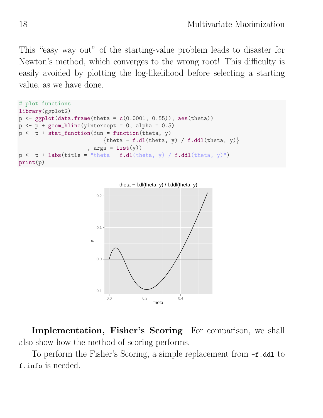This "easy way out" of the starting-value problem leads to disaster for Newton's method, which converges to the wrong root! This difficulty is easily avoided by plotting the log-likelihood before selecting a starting value, as we have done.

```
# plot functions
library(ggplot2)
p \leftarrow \text{ggplot}(data-frame(theta = c(0.0001, 0.55)), aes(theta))p \leftarrow p + \text{geom\_hline}(yintercept = 0, \text{alpha} = 0.5)p \leftarrow p + \text{stat_function}(\text{fun} = \text{function}(\text{theta}, y))\{theta - f.dl(theta, y) / f.ddl(theta, y)\}, args = list(y)p \leftarrow p + \text{ labs}(\text{title} = "theta - f.dl(\text{theta}, y) / f.ddl(\text{theta}, y)")print(p)
```


Implementation, Fisher's Scoring For comparison, we shall also show how the method of scoring performs.

To perform the Fisher's Scoring, a simple replacement from -f.ddl to f.info is needed.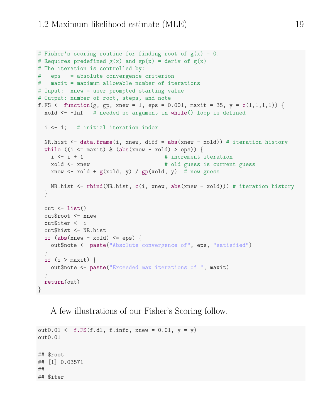```
# Fisher's scoring routine for finding root of g(x) = 0.
# Requires predefined g(x) and gp(x) = deriv of g(x)# The iteration is controlled by:
# eps = absolute convergence criterion
# maxit = maximum allowable number of iterations
# Input: xnew = user prompted starting value
# Output: number of root, steps, and note
f.FS <- function(g, gp, xnew = 1, eps = 0.001, maxit = 35, y = c(1,1,1,1)) {
 xold \leftarrow -Inf # needed so argument in while() loop is defined
 i <- 1; # initial iteration index
 NR.hist \leq data.frame(i, xnew, diff = abs(xnew - xold)) # iteration history
 while ((i \leq maxit) \& (abs(xnew - xold) > eps))i \leq i + 1 # increment iteration
   xold <- xnew # old guess is current guess
   xnew \le xold + g(xold, y) / gp(xold, y) # new guess
   NR.hist <- rbind(NR.hist, c(i, xnew, abs(xnew - xold))) # iteration history
 }
 out \leftarrow list()
 out$root <- xnew
 out$iter <- i
 out$hist <- NR.hist
 if (abs(xnew - xold) \leq eps) {
   out$note <- paste("Absolute convergence of", eps, "satisfied")
 }
 if (i > maxit) {
   out$note <- paste("Exceeded max iterations of ", maxit)
 }
 return(out)
}
```
A few illustrations of our Fisher's Scoring follow.

```
out0.01 <- f.FS(f.dl, f.info, xnew = 0.01, y = y)
out0.01
## $root
## [1] 0.03571
##
## $iter
```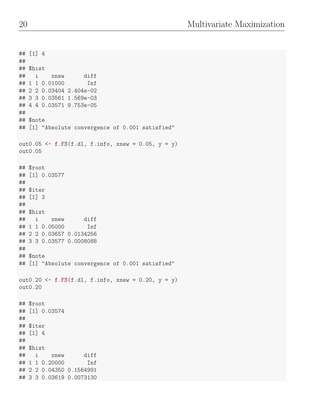```
## [1] 4
##
## $hist
## i xnew diff
## 1 1 0.01000 Inf
## 2 2 0.03404 2.404e-02
## 3 3 0.03561 1.569e-03
## 4 4 0.03571 9.753e-05
##
## $note
## [1] "Absolute convergence of 0.001 satisfied"
out0.05 \leftarrow f.FS(f.dl, f.info, xnew = 0.05, y = y)
out0.05
## $root
## [1] 0.03577
##
## $iter
## [1] 3
##
## $hist
## i xnew diff
## 1 1 0.05000 Inf
## 2 2 0.03657 0.0134256
## 3 3 0.03577 0.0008088
##
## $note
## [1] "Absolute convergence of 0.001 satisfied"
out0.20 <- f.FS(f.dl, f.info, xnew = 0.20, y = y)
out0.20
## $root
## [1] 0.03574
##
## $iter
## [1] 4
##
## $hist
## i xnew diff
## 1 1 0.20000 Inf
## 2 2 0.04350 0.1564991
## 3 3 0.03619 0.0073130
```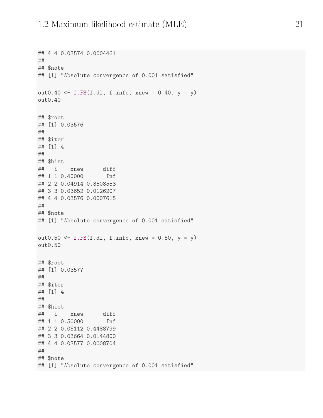```
## 4 4 0.03574 0.0004461
##
## $note
## [1] "Absolute convergence of 0.001 satisfied"
out0.40 <- f.FS(f.dl, f.info, xnew = 0.40, y = y)
out0.40
## $root
## [1] 0.03576
##
## $iter
## [1] 4
##
## $hist
## i xnew diff
## 1 1 0.40000 Inf
## 2 2 0.04914 0.3508553
## 3 3 0.03652 0.0126207
## 4 4 0.03576 0.0007615
##
## $note
## [1] "Absolute convergence of 0.001 satisfied"
out0.50 <- f.FS(f.d1, f.info, xnew = 0.50, y = y)out0.50
## $root
## [1] 0.03577
##
## $iter
## [1] 4
##
## $hist
## i xnew diff
## 1 1 0.50000 Inf
## 2 2 0.05112 0.4488799
## 3 3 0.03664 0.0144800
## 4 4 0.03577 0.0008704
##
## $note
## [1] "Absolute convergence of 0.001 satisfied"
```